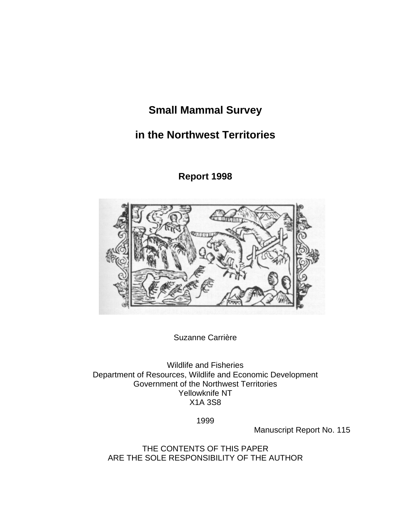# **Small Mammal Survey**

# **in the Northwest Territories**

**Report 1998** 



Suzanne Carrière

Wildlife and Fisheries Department of Resources, Wildlife and Economic Development Government of the Northwest Territories Yellowknife NT X1A 3S8

1999

Manuscript Report No. 115

THE CONTENTS OF THIS PAPER ARE THE SOLE RESPONSIBILITY OF THE AUTHOR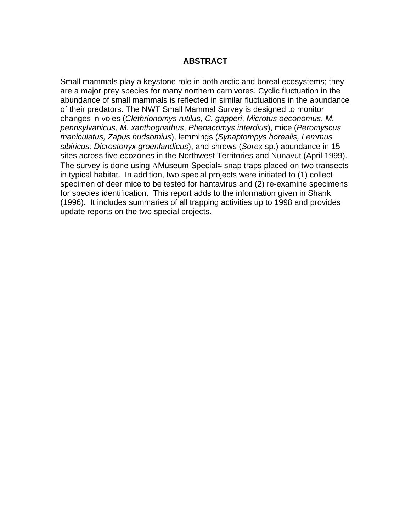#### **ABSTRACT**

<span id="page-1-0"></span>Small mammals play a keystone role in both arctic and boreal ecosystems; they are a major prey species for many northern carnivores. Cyclic fluctuation in the abundance of small mammals is reflected in similar fluctuations in the abundance of their predators. The NWT Small Mammal Survey is designed to monitor changes in voles (*Clethrionomys rutilus*, *C. gapperi*, *Microtus oeconomus*, *M. pennsylvanicus*, *M. xanthognathus*, *Phenacomys interdius*), mice (*Peromyscus maniculatus, Zapus hudsomius*), lemmings (*Synaptompys borealis, Lemmus sibiricus, Dicrostonyx groenlandicus*), and shrews (*Sorex* sp.) abundance in 15 sites across five ecozones in the Northwest Territories and Nunavut (April 1999). The survey is done using AMuseum Special≅ snap traps placed on two transects in typical habitat. In addition, two special projects were initiated to (1) collect specimen of deer mice to be tested for hantavirus and (2) re-examine specimens for species identification. This report adds to the information given in Shank (1996). It includes summaries of all trapping activities up to 1998 and provides update reports on the two special projects.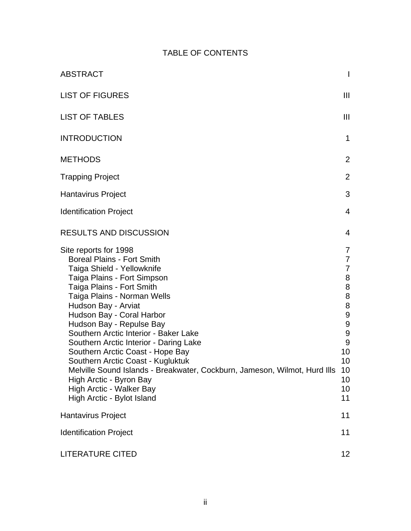## TABLE OF CONTENTS

| <b>ABSTRACT</b>                                                                                                                                                                                                                                                                                                                                                                                                                                                                                                                                                                                   | $\mathsf{I}$                                                                                                                                                 |
|---------------------------------------------------------------------------------------------------------------------------------------------------------------------------------------------------------------------------------------------------------------------------------------------------------------------------------------------------------------------------------------------------------------------------------------------------------------------------------------------------------------------------------------------------------------------------------------------------|--------------------------------------------------------------------------------------------------------------------------------------------------------------|
| <b>LIST OF FIGURES</b>                                                                                                                                                                                                                                                                                                                                                                                                                                                                                                                                                                            | $\mathbf{III}$                                                                                                                                               |
| <b>LIST OF TABLES</b>                                                                                                                                                                                                                                                                                                                                                                                                                                                                                                                                                                             | $\mathbf{III}$                                                                                                                                               |
| <b>INTRODUCTION</b>                                                                                                                                                                                                                                                                                                                                                                                                                                                                                                                                                                               | 1                                                                                                                                                            |
| <b>METHODS</b>                                                                                                                                                                                                                                                                                                                                                                                                                                                                                                                                                                                    | 2                                                                                                                                                            |
| <b>Trapping Project</b>                                                                                                                                                                                                                                                                                                                                                                                                                                                                                                                                                                           | $\overline{2}$                                                                                                                                               |
| <b>Hantavirus Project</b>                                                                                                                                                                                                                                                                                                                                                                                                                                                                                                                                                                         | 3                                                                                                                                                            |
| <b>Identification Project</b>                                                                                                                                                                                                                                                                                                                                                                                                                                                                                                                                                                     | $\overline{4}$                                                                                                                                               |
| <b>RESULTS AND DISCUSSION</b>                                                                                                                                                                                                                                                                                                                                                                                                                                                                                                                                                                     | 4                                                                                                                                                            |
| Site reports for 1998<br><b>Boreal Plains - Fort Smith</b><br>Taiga Shield - Yellowknife<br>Taiga Plains - Fort Simpson<br>Taiga Plains - Fort Smith<br>Taiga Plains - Norman Wells<br>Hudson Bay - Arviat<br>Hudson Bay - Coral Harbor<br>Hudson Bay - Repulse Bay<br>Southern Arctic Interior - Baker Lake<br>Southern Arctic Interior - Daring Lake<br>Southern Arctic Coast - Hope Bay<br>Southern Arctic Coast - Kugluktuk<br>Melville Sound Islands - Breakwater, Cockburn, Jameson, Wilmot, Hurd IIIs<br>High Arctic - Byron Bay<br>High Arctic - Walker Bay<br>High Arctic - Bylot Island | 7<br>$\overline{7}$<br>$\overline{7}$<br>8<br>8<br>8<br>8<br>9<br>$\boldsymbol{9}$<br>$\boldsymbol{9}$<br>$\overline{9}$<br>10<br>10<br>10<br>10<br>10<br>11 |
| <b>Hantavirus Project</b>                                                                                                                                                                                                                                                                                                                                                                                                                                                                                                                                                                         | 11                                                                                                                                                           |
| <b>Identification Project</b>                                                                                                                                                                                                                                                                                                                                                                                                                                                                                                                                                                     | 11                                                                                                                                                           |
| LITERATURE CITED                                                                                                                                                                                                                                                                                                                                                                                                                                                                                                                                                                                  | 12 <sub>2</sub>                                                                                                                                              |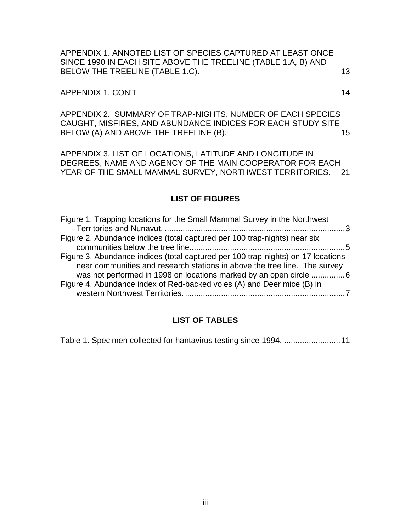<span id="page-3-0"></span>[APPENDIX 1. ANNOTED LIST OF SPECIES CAPTURED AT LEAST ONCE](#page-16-0)  [SINCE 1990 IN EACH SITE ABOVE THE TREELINE \(TABLE 1.A, B\) AND](#page-16-0)  BELOW THE TREELINE (TABLE 1.C). 13

#### APPENDIX 1. CON'T 14

[APPENDIX 2. SUMMARY OF TRAP-NIGHTS, NUMBER OF EACH SPECIES](#page-18-0)  [CAUGHT, MISFIRES, AND ABUNDANCE INDICES FOR EACH STUDY SITE](#page-18-0)  BELOW (A) AND ABOVE THE TREELINE (B). 15

[APPENDIX 3. LIST OF LOCATIONS, LATITUDE AND LONGITUDE IN](#page-24-0)  [DEGREES, NAME AND AGENCY OF THE MAIN COOPERATOR FOR EACH](#page-24-0)  [YEAR OF THE SMALL MAMMAL SURVEY, NORTHWEST TERRITORIES. 21](#page-24-0) 

#### **LIST OF FIGURES**

| Figure 1. Trapping locations for the Small Mammal Survey in the Northwest        |
|----------------------------------------------------------------------------------|
|                                                                                  |
| Figure 2. Abundance indices (total captured per 100 trap-nights) near six        |
|                                                                                  |
| Figure 3. Abundance indices (total captured per 100 trap-nights) on 17 locations |
| near communities and research stations in above the tree line. The survey        |
| was not performed in 1998 on locations marked by an open circle 6                |
| Figure 4. Abundance index of Red-backed voles (A) and Deer mice (B) in           |
|                                                                                  |
|                                                                                  |

#### **LIST OF TABLES**

[Table 1. Specimen collected for hantavirus testing since 1994.](#page-14-0) .........................11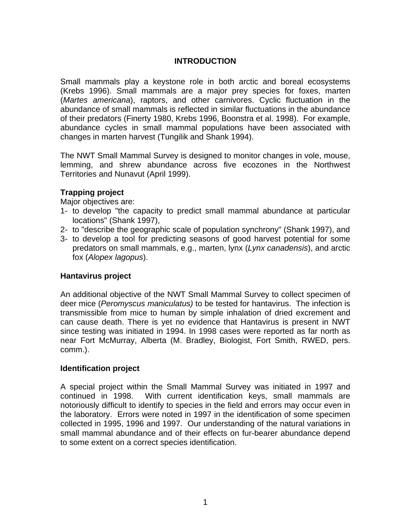### **INTRODUCTION**

<span id="page-4-0"></span>Small mammals play a keystone role in both arctic and boreal ecosystems (Krebs 1996). Small mammals are a major prey species for foxes, marten (*Martes americana*), raptors, and other carnivores. Cyclic fluctuation in the abundance of small mammals is reflected in similar fluctuations in the abundance of their predators (Finerty 1980, Krebs 1996, Boonstra et al. 1998). For example, abundance cycles in small mammal populations have been associated with changes in marten harvest (Tungilik and Shank 1994).

The NWT Small Mammal Survey is designed to monitor changes in vole, mouse, lemming, and shrew abundance across five ecozones in the Northwest Territories and Nunavut (April 1999).

#### **Trapping project**

Major objectives are:

- 1- to develop "the capacity to predict small mammal abundance at particular locations" (Shank 1997),
- 2- to "describe the geographic scale of population synchrony" (Shank 1997), and
- 3- to develop a tool for predicting seasons of good harvest potential for some predators on small mammals, e.g., marten, lynx (*Lynx canadensis*), and arctic fox (*Alopex lagopus*).

#### **Hantavirus project**

An additional objective of the NWT Small Mammal Survey to collect specimen of deer mice (*Peromyscus maniculatus)* to be tested for hantavirus. The infection is transmissible from mice to human by simple inhalation of dried excrement and can cause death. There is yet no evidence that Hantavirus is present in NWT since testing was initiated in 1994. In 1998 cases were reported as far north as near Fort McMurray, Alberta (M. Bradley, Biologist, Fort Smith, RWED, pers. comm.).

#### **Identification project**

A special project within the Small Mammal Survey was initiated in 1997 and continued in 1998. With current identification keys, small mammals are notoriously difficult to identify to species in the field and errors may occur even in the laboratory. Errors were noted in 1997 in the identification of some specimen collected in 1995, 1996 and 1997. Our understanding of the natural variations in small mammal abundance and of their effects on fur-bearer abundance depend to some extent on a correct species identification.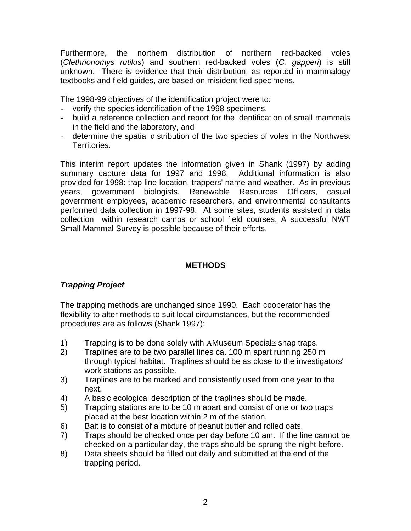<span id="page-5-0"></span>Furthermore, the northern distribution of northern red-backed voles (*Clethrionomys rutilus*) and southern red-backed voles (*C. gapperi*) is still unknown. There is evidence that their distribution, as reported in mammalogy textbooks and field guides, are based on misidentified specimens.

The 1998-99 objectives of the identification project were to:

- verify the species identification of the 1998 specimens,
- build a reference collection and report for the identification of small mammals in the field and the laboratory, and
- determine the spatial distribution of the two species of voles in the Northwest Territories.

This interim report updates the information given in Shank (1997) by adding summary capture data for 1997 and 1998. Additional information is also provided for 1998: trap line location, trappers' name and weather. As in previous years, government biologists, Renewable Resources Officers, casual government employees, academic researchers, and environmental consultants performed data collection in 1997-98. At some sites, students assisted in data collection within research camps or school field courses. A successful NWT Small Mammal Survey is possible because of their efforts.

### **METHODS**

## *Trapping Project*

The trapping methods are unchanged since 1990. Each cooperator has the flexibility to alter methods to suit local circumstances, but the recommended procedures are as follows (Shank 1997):

- 1) Trapping is to be done solely with AMuseum Special≅ snap traps.
- 2) Traplines are to be two parallel lines ca. 100 m apart running 250 m through typical habitat. Traplines should be as close to the investigators' work stations as possible.
- 3) Traplines are to be marked and consistently used from one year to the next.
- 4) A basic ecological description of the traplines should be made.
- 5) Trapping stations are to be 10 m apart and consist of one or two traps placed at the best location within 2 m of the station.
- 6) Bait is to consist of a mixture of peanut butter and rolled oats.
- 7) Traps should be checked once per day before 10 am. If the line cannot be checked on a particular day, the traps should be sprung the night before.
- 8) Data sheets should be filled out daily and submitted at the end of the trapping period.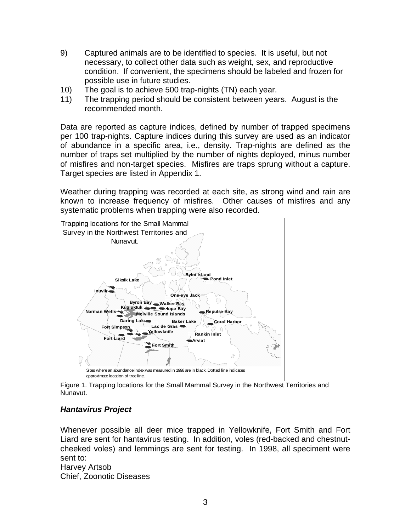- <span id="page-6-0"></span>9) Captured animals are to be identified to species. It is useful, but not necessary, to collect other data such as weight, sex, and reproductive condition. If convenient, the specimens should be labeled and frozen for possible use in future studies.
- 10) The goal is to achieve 500 trap-nights (TN) each year.
- 11) The trapping period should be consistent between years. August is the recommended month.

Data are reported as capture indices, defined by number of trapped specimens per 100 trap-nights. Capture indices during this survey are used as an indicator of abundance in a specific area, i.e., density. Trap-nights are defined as the number of traps set multiplied by the number of nights deployed, minus number of misfires and non-target species. Misfires are traps sprung without a capture. Target species are listed in Appendix 1.

Weather during trapping was recorded at each site, as strong wind and rain are known to increase frequency of misfires. Other causes of misfires and any systematic problems when trapping were also recorded.



Figure 1. Trapping locations for the Small Mammal Survey in the Northwest Territories and Nunavut.

## *Hantavirus Project*

Whenever possible all deer mice trapped in Yellowknife, Fort Smith and Fort Liard are sent for hantavirus testing. In addition, voles (red-backed and chestnutcheeked voles) and lemmings are sent for testing. In 1998, all speciment were sent to:

Harvey Artsob Chief, Zoonotic Diseases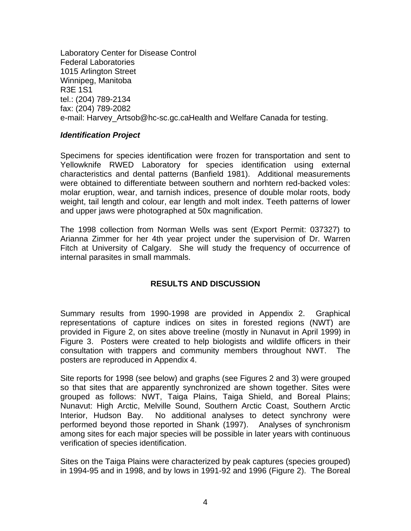<span id="page-7-0"></span>Laboratory Center for Disease Control Federal Laboratories 1015 Arlington Street Winnipeg, Manitoba R3E 1S1 tel.: (204) 789-2134 fax: (204) 789-2082 e-mail: Harvey\_Artsob@hc-sc.gc.caHealth and Welfare Canada for testing.

#### *Identification Project*

Specimens for species identification were frozen for transportation and sent to Yellowknife RWED Laboratory for species identification using external characteristics and dental patterns (Banfield 1981). Additional measurements were obtained to differentiate between southern and norhtern red-backed voles: molar eruption, wear, and tarnish indices, presence of double molar roots, body weight, tail length and colour, ear length and molt index. Teeth patterns of lower and upper jaws were photographed at 50x magnification.

The 1998 collection from Norman Wells was sent (Export Permit: 037327) to Arianna Zimmer for her 4th year project under the supervision of Dr. Warren Fitch at University of Calgary. She will study the frequency of occurrence of internal parasites in small mammals.

## **RESULTS AND DISCUSSION**

Summary results from 1990-1998 are provided in Appendix 2. Graphical representations of capture indices on sites in forested regions (NWT) are provided in Figure 2, on sites above treeline (mostly in Nunavut in April 1999) in Figure 3. Posters were created to help biologists and wildlife officers in their consultation with trappers and community members throughout NWT. The posters are reproduced in Appendix 4.

Site reports for 1998 (see below) and graphs (see Figures 2 and 3) were grouped so that sites that are apparently synchronized are shown together. Sites were grouped as follows: NWT, Taiga Plains, Taiga Shield, and Boreal Plains; Nunavut: High Arctic, Melville Sound, Southern Arctic Coast, Southern Arctic Interior, Hudson Bay. No additional analyses to detect synchrony were performed beyond those reported in Shank (1997). Analyses of synchronism among sites for each major species will be possible in later years with continuous verification of species identification.

Sites on the Taiga Plains were characterized by peak captures (species grouped) in 1994-95 and in 1998, and by lows in 1991-92 and 1996 (Figure 2). The Boreal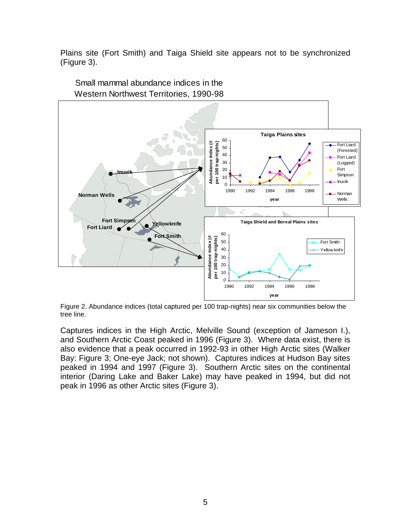<span id="page-8-0"></span>Plains site (Fort Smith) and Taiga Shield site appears not to be synchronized (Figure 3).



Small mammal abundance indices in the

Figure 2. Abundance indices (total captured per 100 trap-nights) near six communities below the tree line.

Captures indices in the High Arctic, Melville Sound (exception of Jameson I.), and Southern Arctic Coast peaked in 1996 (Figure 3). Where data exist, there is also evidence that a peak occurred in 1992-93 in other High Arctic sites (Walker Bay: Figure 3; One-eye Jack; not shown). Captures indices at Hudson Bay sites peaked in 1994 and 1997 (Figure 3). Southern Arctic sites on the continental interior (Daring Lake and Baker Lake) may have peaked in 1994, but did not peak in 1996 as other Arctic sites (Figure 3).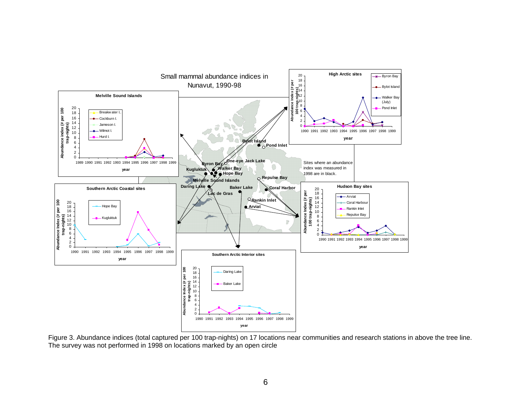

<span id="page-9-0"></span>Figure 3. Abundance indices (total captured per 100 trap-nights) on 17 locations near communities and research stations in above the tree line. The survey was not performed in 1998 on locations marked by an open circl e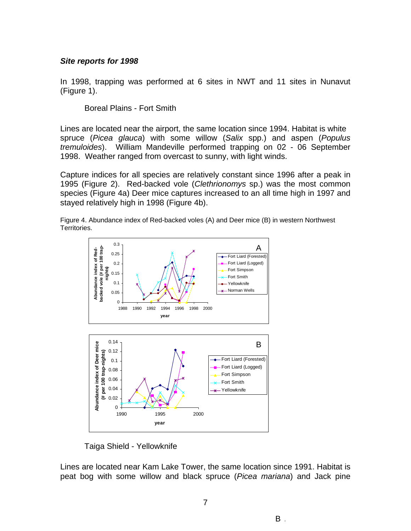#### <span id="page-10-0"></span>*Site reports for 1998*

In 1998, trapping was performed at 6 sites in NWT and 11 sites in Nunavut (Figure 1).

Boreal Plains - Fort Smith

Lines are located near the airport, the same location since 1994. Habitat is white spruce (*Picea glauca*) with some willow (*Salix* spp.) and aspen (*Populus tremuloides*). William Mandeville performed trapping on 02 - 06 September 1998. Weather ranged from overcast to sunny, with light winds.

Capture indices for all species are relatively constant since 1996 after a peak in 1995 (Figure 2). Red-backed vole (*Clethrionomys* sp.) was the most common species (Figure 4a) Deer mice captures increased to an all time high in 1997 and stayed relatively high in 1998 (Figure 4b).

Figure 4. Abundance index of Red-backed voles (A) and Deer mice (B) in western Northwest Territories.



Taiga Shield - Yellowknife

Lines are located near Kam Lake Tower, the same location since 1991. Habitat is peat bog with some willow and black spruce (*Picea mariana*) and Jack pine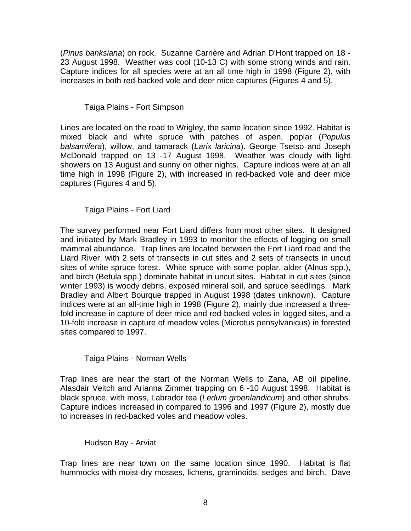<span id="page-11-0"></span>(*Pinus banksiana*) on rock. Suzanne Carrière and Adrian D'Hont trapped on 18 - 23 August 1998. Weather was cool (10-13 C) with some strong winds and rain. Capture indices for all species were at an all time high in 1998 (Figure 2), with increases in both red-backed vole and deer mice captures (Figures 4 and 5).

Taiga Plains - Fort Simpson

Lines are located on the road to Wrigley, the same location since 1992. Habitat is mixed black and white spruce with patches of aspen, poplar (*Populus balsamifera*), willow, and tamarack (*Larix laricina*). George Tsetso and Joseph McDonald trapped on 13 -17 August 1998. Weather was cloudy with light showers on 13 August and sunny on other nights. Capture indices were at an all time high in 1998 (Figure 2), with increased in red-backed vole and deer mice captures (Figures 4 and 5).

Taiga Plains - Fort Liard

The survey performed near Fort Liard differs from most other sites. It designed and initiated by Mark Bradley in 1993 to monitor the effects of logging on small mammal abundance. Trap lines are located between the Fort Liard road and the Liard River, with 2 sets of transects in cut sites and 2 sets of transects in uncut sites of white spruce forest. White spruce with some poplar, alder (Alnus spp.), and birch (Betula spp.) dominate habitat in uncut sites. Habitat in cut sites (since winter 1993) is woody debris, exposed mineral soil, and spruce seedlings. Mark Bradley and Albert Bourque trapped in August 1998 (dates unknown). Capture indices were at an all-time high in 1998 (Figure 2), mainly due increased a threefold increase in capture of deer mice and red-backed voles in logged sites, and a 10-fold increase in capture of meadow voles (Microtus pensylvanicus) in forested sites compared to 1997.

Taiga Plains - Norman Wells

Trap lines are near the start of the Norman Wells to Zana, AB oil pipeline. Alasdair Veitch and Arianna Zimmer trapping on 6 -10 August 1998. Habitat is black spruce, with moss, Labrador tea (*Ledum groenlandicum*) and other shrubs. Capture indices increased in compared to 1996 and 1997 (Figure 2), mostly due to increases in red-backed voles and meadow voles.

#### Hudson Bay - Arviat

Trap lines are near town on the same location since 1990. Habitat is flat hummocks with moist-dry mosses, lichens, graminoids, sedges and birch. Dave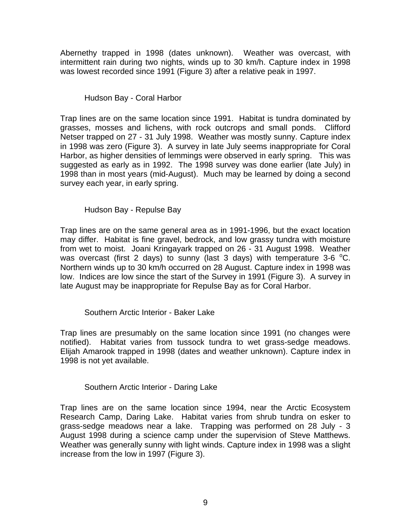<span id="page-12-0"></span>Abernethy trapped in 1998 (dates unknown). Weather was overcast, with intermittent rain during two nights, winds up to 30 km/h. Capture index in 1998 was lowest recorded since 1991 (Figure 3) after a relative peak in 1997.

Hudson Bay - Coral Harbor

Trap lines are on the same location since 1991. Habitat is tundra dominated by grasses, mosses and lichens, with rock outcrops and small ponds. Clifford Netser trapped on 27 - 31 July 1998. Weather was mostly sunny. Capture index in 1998 was zero (Figure 3). A survey in late July seems inappropriate for Coral Harbor, as higher densities of lemmings were observed in early spring. This was suggested as early as in 1992. The 1998 survey was done earlier (late July) in 1998 than in most years (mid-August). Much may be learned by doing a second survey each year, in early spring.

Hudson Bay - Repulse Bay

Trap lines are on the same general area as in 1991-1996, but the exact location may differ. Habitat is fine gravel, bedrock, and low grassy tundra with moisture from wet to moist. Joani Kringayark trapped on 26 - 31 August 1998. Weather was overcast (first 2 days) to sunny (last 3 days) with temperature 3-6  $^{\circ}$ C. Northern winds up to 30 km/h occurred on 28 August. Capture index in 1998 was low. Indices are low since the start of the Survey in 1991 (Figure 3). A survey in late August may be inappropriate for Repulse Bay as for Coral Harbor.

Southern Arctic Interior - Baker Lake

Trap lines are presumably on the same location since 1991 (no changes were notified). Habitat varies from tussock tundra to wet grass-sedge meadows. Elijah Amarook trapped in 1998 (dates and weather unknown). Capture index in 1998 is not yet available.

Southern Arctic Interior - Daring Lake

Trap lines are on the same location since 1994, near the Arctic Ecosystem Research Camp, Daring Lake. Habitat varies from shrub tundra on esker to grass-sedge meadows near a lake. Trapping was performed on 28 July - 3 August 1998 during a science camp under the supervision of Steve Matthews. Weather was generally sunny with light winds. Capture index in 1998 was a slight increase from the low in 1997 (Figure 3).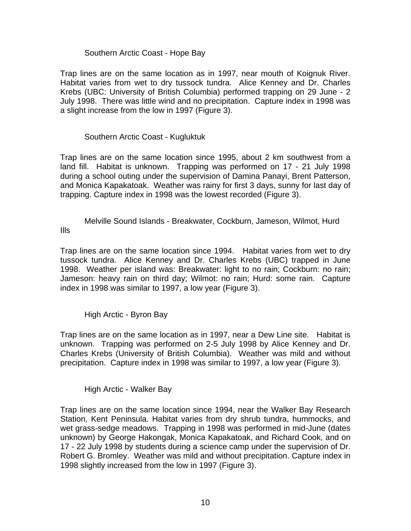#### Southern Arctic Coast - Hope Bay

<span id="page-13-0"></span>Trap lines are on the same location as in 1997, near mouth of Koignuk River. Habitat varies from wet to dry tussock tundra. Alice Kenney and Dr. Charles Krebs (UBC: University of British Columbia) performed trapping on 29 June - 2 July 1998. There was little wind and no precipitation. Capture index in 1998 was a slight increase from the low in 1997 (Figure 3).

### Southern Arctic Coast - Kugluktuk

Trap lines are on the same location since 1995, about 2 km southwest from a land fill. Habitat is unknown. Trapping was performed on 17 - 21 July 1998 during a school outing under the supervision of Damina Panayi, Brent Patterson, and Monica Kapakatoak. Weather was rainy for first 3 days, sunny for last day of trapping. Capture index in 1998 was the lowest recorded (Figure 3).

Melville Sound Islands - Breakwater, Cockburn, Jameson, Wilmot, Hurd Ills

Trap lines are on the same location since 1994. Habitat varies from wet to dry tussock tundra. Alice Kenney and Dr. Charles Krebs (UBC) trapped in June 1998. Weather per island was: Breakwater: light to no rain; Cockburn: no rain; Jameson: heavy rain on third day; Wilmot: no rain; Hurd: some rain. Capture index in 1998 was similar to 1997, a low year (Figure 3).

High Arctic - Byron Bay

Trap lines are on the same location as in 1997, near a Dew Line site. Habitat is unknown. Trapping was performed on 2-5 July 1998 by Alice Kenney and Dr. Charles Krebs (University of British Columbia). Weather was mild and without precipitation. Capture index in 1998 was similar to 1997, a low year (Figure 3).

High Arctic - Walker Bay

Trap lines are on the same location since 1994, near the Walker Bay Research Station, Kent Peninsula. Habitat varies from dry shrub tundra, hummocks, and wet grass-sedge meadows. Trapping in 1998 was performed in mid-June (dates unknown) by George Hakongak, Monica Kapakatoak, and Richard Cook, and on 17 - 22 July 1998 by students during a science camp under the supervision of Dr. Robert G. Bromley. Weather was mild and without precipitation. Capture index in 1998 slightly increased from the low in 1997 (Figure 3).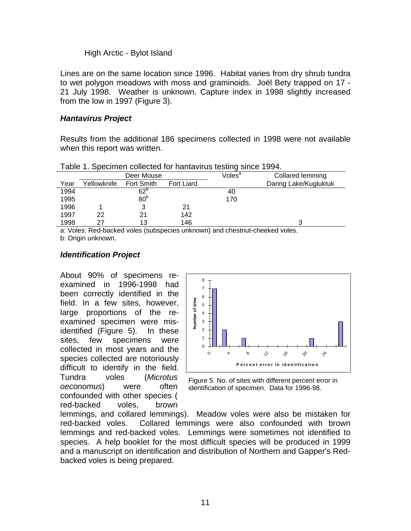#### High Arctic - Bylot Island

<span id="page-14-0"></span>Lines are on the same location since 1996. Habitat varies from dry shrub tundra to wet polygon meadows with moss and graminoids. Joël Bety trapped on 17 - 21 July 1998. Weather is unknown. Capture index in 1998 slightly increased from the low in 1997 (Figure 3).

#### *Hantavirus Project*

Results from the additional 186 specimens collected in 1998 were not available when this report was written.

|      |              | Deer Mouse      |            | Voles $^{\rm a}$ | Collared lemming      |
|------|--------------|-----------------|------------|------------------|-----------------------|
| Year | Yellowknife_ | Fort Smith      | Fort Liard |                  | Daring Lake/Kugluktuk |
| 1994 |              | $62^{\circ}$    |            | 40               |                       |
| 1995 |              | 80 <sup>b</sup> |            | 170              |                       |
| 1996 |              | 3               | 21         |                  |                       |
| 1997 | 22           | 21              | 142        |                  |                       |
| 1998 | 27           | 13              | 146        |                  |                       |
| .    | .<br>-       |                 |            | . .<br>.         |                       |

Table 1. Specimen collected for hantavirus testing since 1994.

a: Voles: Red-backed voles (subspecies unknown) and chestnut-cheeked voles. b: Origin unknown.

#### *Identification Project*

About 90% of specimens reexamined in 1996-1998 had been correctly identified in the field. In a few sites, however, large proportions of the reexamined specimen were misidentified (Figure 5). In these sites, few specimens were collected in most years and the species collected are notoriously difficult to identify in the field. Tundra voles (*Microtus oeconomus*) were often confounded with other species ( red-backed voles, brown



Figure 5. No. of sites with different percent error in identification of specimen. Data for 1996-98.

lemmings, and collared lemmings). Meadow voles were also be mistaken for red-backed voles. Collared lemmings were also confounded with brown lemmings and red-backed voles. Lemmings were sometimes not identified to species. A help booklet for the most difficult species will be produced in 1999 and a manuscript on identification and distribution of Northern and Gapper's Redbacked voles is being prepared.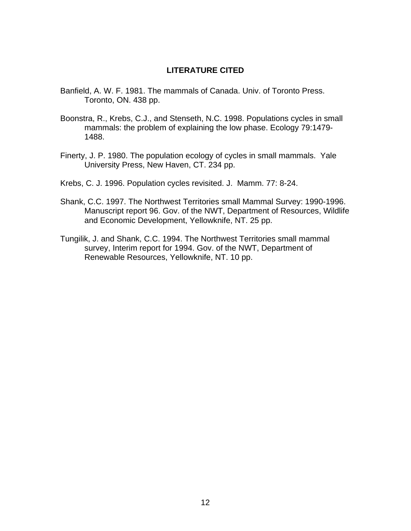#### **LITERATURE CITED**

- <span id="page-15-0"></span>Banfield, A. W. F. 1981. The mammals of Canada. Univ. of Toronto Press. Toronto, ON. 438 pp.
- Boonstra, R., Krebs, C.J., and Stenseth, N.C. 1998. Populations cycles in small mammals: the problem of explaining the low phase. Ecology 79:1479- 1488.
- Finerty, J. P. 1980. The population ecology of cycles in small mammals. Yale University Press, New Haven, CT. 234 pp.
- Krebs, C. J. 1996. Population cycles revisited. J. Mamm. 77: 8-24.
- Shank, C.C. 1997. The Northwest Territories small Mammal Survey: 1990-1996. Manuscript report 96. Gov. of the NWT, Department of Resources, Wildlife and Economic Development, Yellowknife, NT. 25 pp.
- Tungilik, J. and Shank, C.C. 1994. The Northwest Territories small mammal survey, Interim report for 1994. Gov. of the NWT, Department of Renewable Resources, Yellowknife, NT. 10 pp.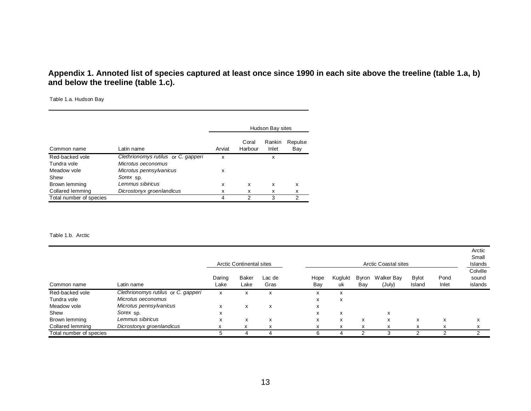#### Appendix 1. Annoted list of species captured at least once since 1990 in each site above the treeline (table 1.a, b) **and below the treeline (table 1.c).**

Table 1.a. Hudson Bay

|                         |                                     |        |                  | Hudson Bay sites |                |
|-------------------------|-------------------------------------|--------|------------------|------------------|----------------|
| Common name             | Latin name                          | Arviat | Coral<br>Harbour | Rankin<br>Inlet  | Repulse<br>Bay |
| Red-backed vole         | Clethrionomys rutilus or C. gapperi | x      |                  | x                |                |
| Tundra vole             | Microtus oeconomus                  |        |                  |                  |                |
| Meadow vole             | Microtus pennsylvanicus             | x      |                  |                  |                |
| Shew                    | Sorex sp.                           |        |                  |                  |                |
| Brown lemming           | Lemmus sibiricus                    | x      | x                | x                | x              |
| Collared lemming        | Dicrostonyx groenlandicus           | х      | x                | x                | x              |
| Total number of species |                                     | 4      | 2                | 3                | 2              |

#### Table 1.b. Arctic

<span id="page-16-0"></span>

|                         |                                     |                | <b>Arctic Continental sites</b> |                |             |               |              | <b>Arctic Coastal sites</b> |                        |               | Arctic<br>Small<br><b>Islands</b> |
|-------------------------|-------------------------------------|----------------|---------------------------------|----------------|-------------|---------------|--------------|-----------------------------|------------------------|---------------|-----------------------------------|
| Common name             | Latin name                          | Daring<br>Lake | Baker<br>Lake                   | Lac de<br>Gras | Hope<br>Bay | Kuglukt<br>uk | Byron<br>Bay | <b>Walker Bay</b><br>(July) | <b>Bylot</b><br>Island | Pond<br>Inlet | Colville<br>sound<br>islands      |
| Red-backed vole         | Clethrionomys rutilus or C. gapperi | x              | х                               | x              | x           | x             |              |                             |                        |               |                                   |
| Tundra vole             | Microtus oeconomus                  |                |                                 |                | X           | X             |              |                             |                        |               |                                   |
| Meadow vole             | Microtus pennsylvanicus             | X              | x                               | x              | x           |               |              |                             |                        |               |                                   |
| Shew                    | Sorex sp.                           | x              |                                 |                | X           | X             |              | X                           |                        |               |                                   |
| Brown lemming           | Lemmus sibiricus                    | X              | x                               | x              | x           | x             | X            | X                           | X                      | X             | x                                 |
| Collared lemming        | Dicrostonyx groenlandicus           |                | X                               | ж              | ᄉ           | $\mathbf{x}$  | X            | X                           | X                      | x             |                                   |
| Total number of species |                                     | :              | 4                               |                | 6           |               |              | 3                           |                        |               |                                   |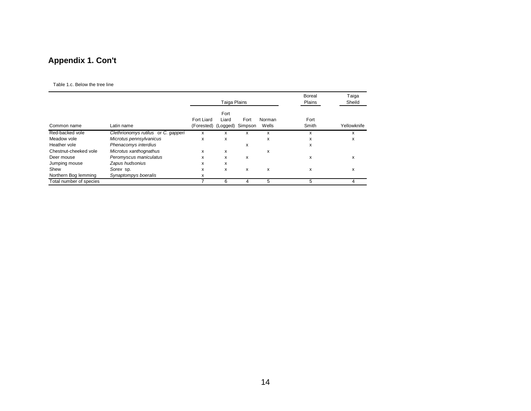## **Appendix 1. Con't**

#### Table 1.c. Below the tree line

<span id="page-17-0"></span>

|                         |                                     |                                   | Taiga Plains  |                 |                 | Boreal<br>Plains | Taiga<br>Sheild |
|-------------------------|-------------------------------------|-----------------------------------|---------------|-----------------|-----------------|------------------|-----------------|
| Common name             | Latin name                          | Fort Liard<br>(Forested) (Logged) | Fort<br>Liard | Fort<br>Simpson | Norman<br>Wells | Fort<br>Smith    | Yellowknife     |
| Red-backed vole         | Clethrionomys rutilus or C. gapperi | x                                 | x             | x               | x               | x                | x               |
| Meadow vole             | Microtus pennsylvanicus             | x                                 | X             |                 | x               | x                | x               |
| Heather vole            | Phenacomys interdius                |                                   |               | x               |                 | x                |                 |
| Chestnut-cheeked vole   | Microtus xanthognathus              | x                                 | x             |                 | x               |                  |                 |
| Deer mouse              | Peromyscus maniculatus              | x                                 | x             | x               |                 | X                | х               |
| Jumping mouse           | Zapus hudsonius                     | x                                 | x             |                 |                 |                  |                 |
| Shew                    | Sorex sp.                           | x                                 | x             | x               | x               | x                | x               |
| Northern Bog lemming    | Synaptompys boeralis                | x                                 |               |                 |                 |                  |                 |
| Total number of species |                                     |                                   | 6             | 4               | 5               | 5                | 4               |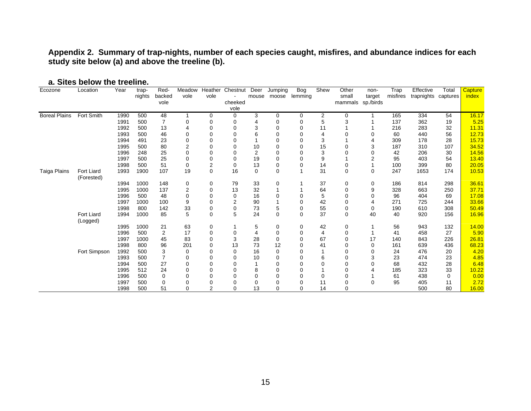**Appendix 2. Summary of trap-nights, number of each species caught, misfires, and abundance indices for each study site below (a) and above the treeline (b).** 

<span id="page-18-0"></span>

| Ecozone              | Location                 | Year | trap-  | Red-           | Meadow         | Heather        | Chestnut | Deer           | Jumping      | <b>Bog</b>  | Shew           | Other       | non-           | Trap     | Effective           | Total | <b>Capture</b> |
|----------------------|--------------------------|------|--------|----------------|----------------|----------------|----------|----------------|--------------|-------------|----------------|-------------|----------------|----------|---------------------|-------|----------------|
|                      |                          |      | nights | backed         | vole           | vole           |          | mouse          | moose        | lemming     |                | small       | target         | misfires | trapnights captures |       | <i>index</i>   |
|                      |                          |      |        | vole           |                |                | cheeked  |                |              |             |                | mammals     | sp./birds      |          |                     |       |                |
|                      |                          |      |        |                |                |                | vole     |                |              |             |                |             |                |          |                     |       |                |
| <b>Boreal Plains</b> | Fort Smith               | 1990 | 500    | 48             |                | 0              | 0        | 3              | $\pmb{0}$    | 0           | 2              | 0           | 1              | 165      | 334                 | 54    | 16.17          |
|                      |                          | 1991 | 500    | 7              | 0              | 0              | 0        | 4              | 0            | 0           | 5              | 3           |                | 137      | 362                 | 19    | 5.25           |
|                      |                          | 1992 | 500    | 13             | 4              | 0              | 0        | 3              | $\mathbf 0$  | $\mathbf 0$ | 11             |             |                | 216      | 283                 | 32    | 11.31          |
|                      |                          | 1993 | 500    | 46             | 0              | 0              | 0        | 6              | $\Omega$     | 0           |                | $\Omega$    | 0              | 60       | 440                 | 56    | 12.73          |
|                      |                          | 1994 | 491    | 23             | 0              | 0              | 0        |                | 0            | $\mathbf 0$ | 3              |             | 4              | 309      | 178                 | 28    | 15.73          |
|                      |                          | 1995 | 500    | 80             | $\overline{2}$ | O              | 0        | 10             | $\mathbf 0$  | 0           | 15             | $\Omega$    | 3              | 187      | 310                 | 107   | 34.52          |
|                      |                          | 1996 | 248    | 25             | 0              | 0              | 0        | 2              | $\mathbf 0$  | $\mathbf 0$ | 3              | $\Omega$    | $\Omega$       | 42       | 206                 | 30    | 14.56          |
|                      |                          | 1997 | 500    | 25             | 0              | 0              | 0        | 19             | 0            | 0           | 9              |             | $\overline{2}$ | 95       | 403                 | 54    | 13.40          |
|                      |                          | 1998 | 500    | 51             | 0              | $\overline{2}$ | 0        | 13             | $\mathbf 0$  | $\mathbf 0$ | 14             | 0           |                | 100      | 399                 | 80    | 20.05          |
| Taiga Plains         | Fort Liard<br>(Forested) | 1993 | 1900   | 107            | 19             | $\Omega$       | 16       | $\mathbf 0$    | $\mathbf 0$  | 1           | 31             | $\mathbf 0$ | 0              | 247      | 1653                | 174   | 10.53          |
|                      |                          | 1994 | 1000   | 148            | 0              | 0              | 79       | 33             | 0            | 1           | 37             | 0           | 0              | 186      | 814                 | 298   | 36.61          |
|                      |                          | 1995 | 1000   | 137            | $\overline{2}$ | 0              | 13       | 32             | 1            |             | 64             | 0           | 9              | 328      | 663                 | 250   | 37.71          |
|                      |                          | 1996 | 500    | 48             | $\Omega$       | O              | 0        | 16             | $\Omega$     | 0           | 5              | 0           | $\Omega$       | 96       | 404                 | 69    | 17.08          |
|                      |                          | 1997 | 1000   | 100            | 9              | 0              | 2        | 90             | $\mathbf{1}$ | $\mathbf 0$ | 42             | 0           | $\overline{4}$ | 271      | 725                 | 244   | 33.66          |
|                      |                          | 1998 | 800    | 142            | 33             | 0              | 0        | 73             | 5            | $\mathbf 0$ | 55             | 0           | 0              | 190      | 610                 | 308   | 50.49          |
|                      | Fort Liard<br>(Logged)   | 1994 | 1000   | 85             | 5              | 0              | 5        | 24             | $\mathbf 0$  | $\mathbf 0$ | 37             | $\Omega$    | 40             | 40       | 920                 | 156   | 16.96          |
|                      |                          | 1995 | 1000   | 21             | 63             | 0              |          | 5              | 0            | 0           | 42             | 0           |                | 56       | 943                 | 132   | 14.00          |
|                      |                          | 1996 | 500    | 2              | 17             | 0              | 0        | $\overline{4}$ | $\mathbf 0$  | 0           | $\overline{4}$ | 0           | 1              | 41       | 458                 | 27    | 5.90           |
|                      |                          | 1997 | 1000   | 45             | 83             | 0              | 3        | 28             | $\mathbf 0$  | $\mathbf 0$ | 67             | 0           | 17             | 140      | 843                 | 226   | 26.81          |
|                      |                          | 1998 | 800    | 96             | 201            | 0              | 13       | 73             | 12           | $\mathbf 0$ | 41             | 0           | 0              | 161      | 639                 | 436   | 68.23          |
|                      | Fort Simpson             | 1992 | 500    | 3              | 0              | O              | 0        | 16             | $\mathbf 0$  | $\mathbf 0$ |                | 0           | $\Omega$       | 24       | 476                 | 20    | 4.20           |
|                      |                          | 1993 | 500    | $\overline{7}$ | 0              | 0              | 0        | 10             | $\mathbf 0$  | $\mathbf 0$ | 6              | 0           | 3              | 23       | 474                 | 23    | 4.85           |
|                      |                          | 1994 | 500    | 27             | 0              | 0              | 0        |                | 0            | $\mathbf 0$ | 0              | 0           | $\Omega$       | 68       | 432                 | 28    | 6.48           |
|                      |                          | 1995 | 512    | 24             | 0              | 0              | 0        | 8              | $\mathbf 0$  | $\mathbf 0$ |                | $\Omega$    | 4              | 185      | 323                 | 33    | 10.22          |
|                      |                          | 1996 | 500    | $\Omega$       | $\Omega$       | 0              | 0        | $\mathbf 0$    | $\mathbf 0$  | $\mathbf 0$ | 0              | 0           |                | 61       | 438                 | 0     | 0.00           |
|                      |                          | 1997 | 500    | $\Omega$       | 0              | 0              | 0        | $\mathbf 0$    | 0            | 0           | 11             | 0           | 0              | 95       | 405                 | 11    | 2.72           |
|                      |                          | 1998 | 500    | 51             | $\Omega$       | $\overline{2}$ | $\Omega$ | 13             | $\Omega$     | $\Omega$    | 14             | $\Omega$    |                |          | 500                 | 80    | 16.00          |

#### **a. Sites below the treeline.**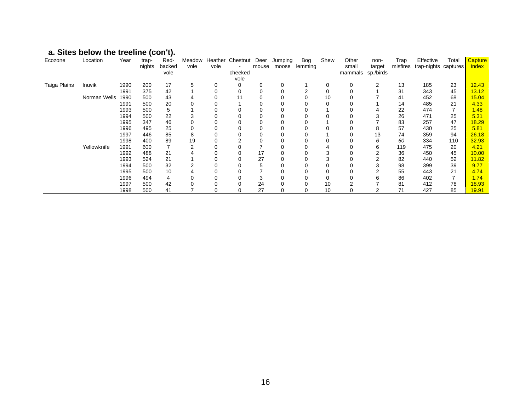# **a. Sites below the treeline (con't).**

| Ecozone      | Location     | Year | trap-  | Red-   | Meadow |      | Heather Chestnut | Deer     | Jumping | Bog     | Shew | Other   | non-      | Trap     | Effective            | Total | Capture |
|--------------|--------------|------|--------|--------|--------|------|------------------|----------|---------|---------|------|---------|-----------|----------|----------------------|-------|---------|
|              |              |      | nights | backed | vole   | vole |                  | mouse    | moose   | lemming |      | small   | target    | misfires | trap-nights captures |       | index   |
|              |              |      |        | vole   |        |      | cheeked          |          |         |         |      | mammals | sp./birds |          |                      |       |         |
|              |              |      |        |        |        |      | vole             |          |         |         |      |         |           |          |                      |       |         |
| Taiga Plains | Inuvik       | 1990 | 200    | 17     | 5      |      | ი                | $\Omega$ | 0       |         |      | 0       | 2         | 13       | 185                  | 23    | 12.43   |
|              |              | 1991 | 375    | 42     |        |      | 0                |          | 0       |         | 0    | 0       |           | 31       | 343                  | 45    | 13.12   |
|              | Norman Wells | 1990 | 500    | 43     |        |      |                  |          | 0       | 0       | 10   |         |           | 41       | 452                  | 68    | 15.04   |
|              |              | 1991 | 500    | 20     |        |      |                  |          |         |         |      |         |           | 14       | 485                  | 21    | 4.33    |
|              |              | 1993 | 500    | 5      |        |      |                  |          | 0       | 0       |      |         |           | 22       | 474                  |       | 1.48    |
|              |              | 1994 | 500    | 22     |        |      |                  |          | 0       |         |      |         |           | 26       | 471                  | 25    | 5.31    |
|              |              | 1995 | 347    | 46     |        |      |                  |          | 0       | U       |      |         |           | 83       | 257                  | 47    | 18.29   |
|              |              | 1996 | 495    | 25     |        |      |                  |          |         |         |      |         | 8         | 57       | 430                  | 25    | 5.81    |
|              |              | 1997 | 446    | 85     | 8      |      |                  |          | 0       |         |      |         | 13        | 74       | 359                  | 94    | 26.18   |
|              |              | 1998 | 400    | 89     | 19     |      |                  |          | 0       | 0       |      |         | 6         | 60       | 334                  | 110   | 32.93   |
|              | Yellowknife  | 1991 | 600    |        |        |      |                  |          |         |         |      |         | 6         | 119      | 475                  | 20    | 4.21    |
|              |              | 1992 | 488    | 21     |        |      |                  | 17       |         |         | 3    |         | 2         | 36       | 450                  | 45    | 10.00   |
|              |              | 1993 | 524    | 21     |        |      |                  | 27       | 0       |         | 3    |         |           | 82       | 440                  | 52    | 11.82   |
|              |              | 1994 | 500    | 32     |        |      |                  | 5        |         |         |      |         |           | 98       | 399                  | 39    | 9.77    |
|              |              | 1995 | 500    | 10     |        |      |                  |          |         |         |      |         |           | 55       | 443                  | 21    | 4.74    |
|              |              | 1996 | 494    |        |        |      |                  |          |         |         |      |         | 6         | 86       | 402                  |       | 1.74    |
|              |              | 1997 | 500    | 42     |        |      |                  | 24       | 0       | 0       | 10   |         |           | 81       | 412                  | 78    | 18.93   |
|              |              | 1998 | 500    | 41     |        |      |                  | 27       | 0       | 0       | 10   |         |           | 71       | 427                  | 85    | 19.91   |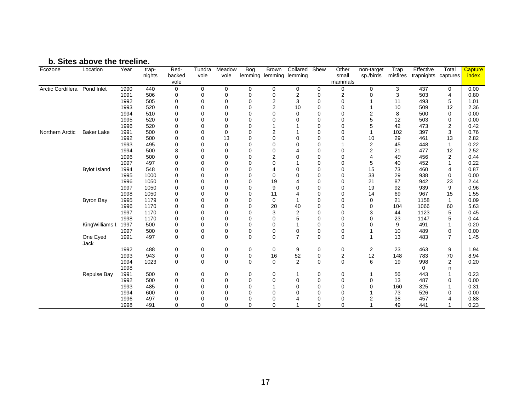#### **b. Sites above the treeline.**

| Ecozone           | Location            | Year | trap-  | Red-        | Tundra         | Meadow         | Bog            | <b>Brown</b>            | Collared Shew  |             | Other            | non-target              | Trap     | Effective  | Total          | Capture |
|-------------------|---------------------|------|--------|-------------|----------------|----------------|----------------|-------------------------|----------------|-------------|------------------|-------------------------|----------|------------|----------------|---------|
|                   |                     |      | nights | backed      | vole           | vole           |                | lemming lemming lemming |                |             | small            | sp./birds               | misfires | trapnights | captures       | index   |
|                   |                     |      |        | vole        |                |                |                |                         |                |             | mammals          |                         |          |            |                |         |
| Arctic Cordillera | Pond Inlet          | 1990 | 440    | 0           | $\mathbf 0$    | 0              | 0              | $\mathbf 0$             | 0              | 0           | 0                | $\mathbf 0$             | 3        | 437        | 0              | 0.00    |
|                   |                     | 1991 | 506    | 0           | 0              | 0              | 0              | 0                       | $\overline{2}$ | 0           | $\overline{2}$   | 0                       | 3        | 503        | 4              | 0.80    |
|                   |                     | 1992 | 505    | $\mathbf 0$ | $\mathbf 0$    | $\mathbf 0$    | $\overline{0}$ | $\boldsymbol{2}$        | 3              | $\Omega$    | $\mathbf 0$      |                         | 11       | 493        | 5              | 1.01    |
|                   |                     | 1993 | 520    | 0           | $\mathbf 0$    | $\mathbf 0$    | $\overline{0}$ | $\boldsymbol{2}$        | 10             | $\Omega$    | $\mathbf 0$      |                         | 10       | 509        | 12             | 2.36    |
|                   |                     | 1994 | 510    | O           | 0              | 0              | $\Omega$       | $\mathbf 0$             | $\mathbf 0$    | $\Omega$    | $\Omega$         | $\overline{\mathbf{c}}$ | 8        | 500        | 0              | 0.00    |
|                   |                     | 1995 | 520    | U           | 0              | $\mathbf 0$    | $\Omega$       | $\mathbf 0$             | $\Omega$       | $\Omega$    | $\Omega$         | 5                       | 12       | 503        | 0              | 0.00    |
|                   |                     | 1996 | 520    |             | $\mathbf 0$    | $\mathbf 0$    | $\Omega$       |                         |                | $\Omega$    | $\Omega$         | 5                       | 42       | 473        | 2              | 0.42    |
| Northern Arctic   | <b>Baker Lake</b>   | 1991 | 500    | $\Omega$    | $\mathbf 0$    | $\mathbf 0$    | $\mathbf 0$    | $\overline{2}$          |                | $\Omega$    | $\mathbf 0$      | 1                       | 102      | 397        | 3              | 0.76    |
|                   |                     | 1992 | 500    | O           | $\Omega$       | 13             | $\Omega$       | $\Omega$                | $\Omega$       | $\Omega$    | $\Omega$         | 10                      | 29       | 461        | 13             | 2.82    |
|                   |                     | 1993 | 495    | 0           | $\Omega$       | $\mathbf 0$    | $\Omega$       | $\Omega$                | $\Omega$       | $\Omega$    |                  | $\overline{2}$          | 45       | 448        | 1              | 0.22    |
|                   |                     | 1994 | 500    | 8           | $\mathbf 0$    | $\mathbf 0$    | $\mathbf 0$    | $\mathbf 0$             |                | $\Omega$    | $\mathbf 0$      | 2                       | 21       | 477        | 12             | 2.52    |
|                   |                     | 1996 | 500    | $\Omega$    | $\mathbf 0$    | $\mathbf 0$    | $\overline{0}$ | $\overline{2}$          | $\Omega$       | 0           | $\mathbf 0$      | 4                       | 40       | 456        | $\overline{2}$ | 0.44    |
|                   |                     | 1997 | 497    | 0           | $\mathbf 0$    | 0              | $\mathbf 0$    | $\mathbf 0$             |                | 0           | 0                | 5                       | 40       | 452        | 1              | 0.22    |
|                   | <b>Bylot Island</b> | 1994 | 548    | $\Omega$    | $\mathbf 0$    | $\mathbf 0$    | $\mathbf 0$    | 4                       | $\Omega$       | $\Omega$    | $\mathbf 0$      | 15                      | 73       | 460        | 4              | 0.87    |
|                   |                     | 1995 | 1000   | $\Omega$    | $\mathbf 0$    | $\mathbf 0$    | $\overline{0}$ | $\mathbf 0$             | $\Omega$       | $\Omega$    | $\mathbf 0$      | 33                      | 29       | 938        | 0              | 0.00    |
|                   |                     | 1996 | 1050   | $\Omega$    | 0              | 0              | $\overline{0}$ | 19                      |                | $\Omega$    | $\mathbf 0$      | 21                      | 87       | 942        | 23             | 2.44    |
|                   |                     | 1997 | 1050   | U           | 0              | 0              | $\Omega$       | 9                       | $\Omega$       | $\Omega$    | $\mathbf 0$      | 19                      | 92       | 939        | 9              | 0.96    |
|                   |                     | 1998 | 1050   | U           | $\Omega$       | $\Omega$       | $\mathbf 0$    | 11                      |                | $\Omega$    | $\Omega$         | 14                      | 69       | 967        | 15             | 1.55    |
|                   | <b>Byron Bay</b>    | 1995 | 1179   | 0           | $\mathbf 0$    | $\mathbf 0$    | $\Omega$       | $\mathbf 0$             |                | $\Omega$    | $\mathbf 0$      | $\mathbf 0$             | 21       | 1158       | $\mathbf 1$    | 0.09    |
|                   |                     | 1996 | 1170   | 0           | $\mathbf 0$    | $\mathbf 0$    | $\overline{0}$ | 20                      | 40             | $\Omega$    | $\mathbf 0$      | 0                       | 104      | 1066       | 60             | 5.63    |
|                   |                     | 1997 | 1170   |             | $\mathbf 0$    | $\mathbf 0$    | $\overline{0}$ | 3                       | $\overline{c}$ | $\Omega$    | $\mathbf 0$      | 3                       | 44       | 1123       | 5              | 0.45    |
|                   |                     | 1998 | 1170   |             | $\overline{0}$ | $\mathbf 0$    | $\overline{0}$ | $\mathbf 0$             | 5              | $\Omega$    | $\mathbf 0$      | 0                       | 23       | 1147       | 5              | 0.44    |
|                   | KingWilliams I.     | 1997 | 500    | 0           | $\overline{0}$ | $\overline{0}$ | $\mathbf 0$    | $\mathbf 0$             |                | 0           | $\mathbf 0$      | $\Omega$                | 9        | 491        | 1              | 0.20    |
|                   |                     | 1997 | 500    | $\mathbf 0$ | 0              | $\mathbf 0$    | $\mathbf 0$    | $\pmb{0}$               | 0              | 0           | 0                |                         | 10       | 489        | 0              | 0.00    |
|                   | One Eyed<br>Jack    | 1991 | 497    | $\Omega$    | $\Omega$       | $\Omega$       | $\mathbf 0$    | $\Omega$                | $\overline{7}$ | $\Omega$    | $\mathbf 0$      |                         | 13       | 483        | 7              | 1.45    |
|                   |                     | 1992 | 488    | 0           | 0              | 0              | 0              | 0                       | 9              | 0           | 0                | 2                       | 23       | 463        | 9              | 1.94    |
|                   |                     | 1993 | 943    | $\mathbf 0$ | $\pmb{0}$      | $\mathbf 0$    | $\mathbf 0$    | 16                      | 52             | $\mathbf 0$ | $\boldsymbol{2}$ | 12                      | 148      | 783        | 70             | 8.94    |
|                   |                     | 1994 | 1023   | $\mathbf 0$ | $\Omega$       | $\Omega$       | $\Omega$       | $\Omega$                | $\overline{2}$ | $\Omega$    | $\Omega$         | 6                       | 19       | 998        | $\overline{2}$ | 0.20    |
|                   |                     | 1998 |        |             |                |                |                |                         |                |             |                  |                         |          | 0          | n              |         |
|                   | <b>Repulse Bay</b>  | 1991 | 500    | 0           | 0              | 0              | 0              | 0                       |                | 0           | 0                |                         | 56       | 443        | 1              | 0.23    |
|                   |                     | 1992 | 500    | $\mathbf 0$ | $\pmb{0}$      | $\mathbf 0$    | $\mathbf 0$    | $\mathbf 0$             | 0              | 0           | $\pmb{0}$        | 0                       | 13       | 487        | 0              | 0.00    |
|                   |                     | 1993 | 485    | $\mathbf 0$ | $\mathbf 0$    | $\mathbf 0$    | $\overline{0}$ |                         | $\mathbf 0$    | $\Omega$    | $\mathbf 0$      | $\overline{0}$          | 160      | 325        | 1              | 0.31    |
|                   |                     | 1994 | 600    | $\Omega$    | 0              | $\mathbf 0$    | $\overline{0}$ | $\mathbf 0$             | $\Omega$       | $\Omega$    | $\mathbf 0$      |                         | 73       | 526        | 0              | 0.00    |
|                   |                     | 1996 | 497    | 0           | 0              | 0              | $\mathbf 0$    | 0                       |                | 0           | $\mathbf 0$      | 2                       | 38       | 457        | 4              | 0.88    |
|                   |                     | 1998 | 491    | $\Omega$    | $\Omega$       | $\mathbf 0$    | $\Omega$       | $\mathbf 0$             |                | $\mathbf 0$ | $\mathbf 0$      |                         | 49       | 441        |                | 0.23    |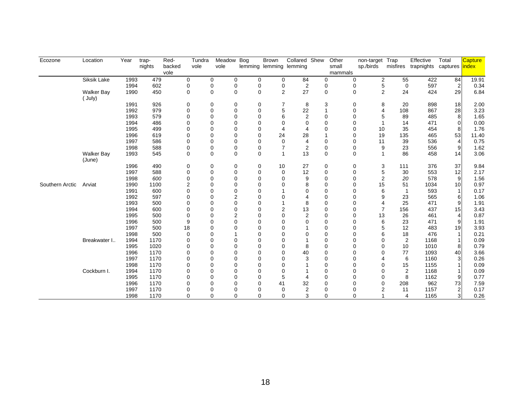| Ecozone         | Location          | Year | trap-  | Red-   | Tundra         | Meadow                     | <b>Bog</b>   | <b>Brown</b>            | Collared Shew  |             | Other       | non-target                   | Trap           | Effective                | Total          | Capture |
|-----------------|-------------------|------|--------|--------|----------------|----------------------------|--------------|-------------------------|----------------|-------------|-------------|------------------------------|----------------|--------------------------|----------------|---------|
|                 |                   |      | nights | backed | vole           | vole                       |              | lemming lemming lemming |                |             | small       | sp./birds                    | misfires       | trapnights captures ndex |                |         |
|                 |                   |      |        | vole   |                |                            |              |                         |                |             | mammals     |                              |                |                          |                |         |
|                 | Siksik Lake       | 1993 | 479    |        | 0              | 0<br>0                     | 0            | 0                       | 84             | 0           |             | $\overline{2}$<br>0          | 55             | 422                      | 84             | 19.91   |
|                 |                   | 1994 | 602    |        | 0              | $\mathbf 0$<br>0           | 0            | 0                       | 2              | 0           |             | 5<br>0                       | $\mathbf 0$    | 597                      | $\overline{a}$ | 0.34    |
|                 | <b>Walker Bay</b> | 1990 | 450    |        | $\mathbf 0$    | $\mathbf 0$<br>$\mathbf 0$ | $\mathbf{0}$ | $\overline{2}$          | 27             | $\mathbf 0$ | $\mathbf 0$ | $\overline{2}$               | 24             | 424                      | 29             | 6.84    |
|                 | (July)            |      |        |        |                |                            |              |                         |                |             |             |                              |                |                          |                |         |
|                 |                   | 1991 | 926    |        | 0              | $\mathbf 0$<br>0           | 0            | 7                       | 8              | 3           |             | 0<br>8                       | 20             | 898                      | 18             | 2.00    |
|                 |                   | 1992 | 979    |        | $\mathbf 0$    | $\mathbf 0$<br>$\Omega$    | $\mathbf{0}$ | 5                       | 22             | 1           |             | 0<br>4                       | 108            | 867                      | 28             | 3.23    |
|                 |                   | 1993 | 579    |        | $\mathbf 0$    | $\Omega$<br>$\mathbf 0$    | $\Omega$     | 6                       | $\overline{2}$ | $\Omega$    |             | 5<br>0                       | 89             | 485                      | 8              | 1.65    |
|                 |                   | 1994 | 486    |        | $\Omega$       | $\Omega$<br>$\Omega$       | $\Omega$     | $\Omega$                | $\Omega$       | $\Omega$    |             | 0                            | 14             | 471                      | 0              | 0.00    |
|                 |                   | 1995 | 499    |        | $\Omega$       | $\Omega$<br>$\Omega$       | $\Omega$     | 4                       | 4              | 0           |             | 0<br>10                      | 35             | 454                      | 8              | 1.76    |
|                 |                   | 1996 | 619    |        | $\Omega$       | $\Omega$<br>$\Omega$       | $\Omega$     | 24                      | 28             |             |             | 19<br>0                      | 135            | 465                      | 53             | 11.40   |
|                 |                   | 1997 | 586    |        | $\mathbf 0$    | $\Omega$<br>$\Omega$       | $\Omega$     | $\Omega$                | 4              | $\mathbf 0$ |             | 11<br>0                      | 39             | 536                      | $\overline{4}$ | 0.75    |
|                 |                   | 1998 | 588    |        | 0              | $\mathbf 0$<br>0           | 0            | 7                       | $\overline{2}$ | 0           |             | 0<br>9                       | 23             | 556                      | 9              | 1.62    |
|                 | <b>Walker Bay</b> | 1993 | 545    |        | 0              | $\mathbf 0$<br>$\mathbf 0$ | 0            | 1                       | 13             | 0           |             | 0<br>$\overline{\mathbf{1}}$ | 86             | 458                      | 14             | 3.06    |
|                 | (June)            |      |        |        |                |                            |              |                         |                |             |             |                              |                |                          |                |         |
|                 |                   | 1996 | 490    |        | $\mathbf 0$    | $\mathbf 0$<br>0           | 0            | 10                      | 27             | 0           |             | 3<br>0                       | 111            | 376                      | 37             | 9.84    |
|                 |                   | 1997 | 588    |        | $\mathbf 0$    | $\mathbf 0$<br>$\mathbf 0$ | 0            | $\mathbf 0$             | 12             | $\mathbf 0$ |             | 5<br>0                       | 30             | 553                      | 12             | 2.17    |
|                 |                   | 1998 | 600    |        | 0              | $\Omega$<br>$\mathbf 0$    | $\Omega$     | $\Omega$                | 9              | 0           |             | 0<br>$\overline{2}$          | 20             | 578                      | 9              | 1.56    |
| Southern Arctic | Arviat            | 1990 | 1100   |        | $\overline{2}$ | $\Omega$<br>$\Omega$       | $\Omega$     | $\Omega$                | 8              | $\Omega$    |             | 15<br>$\Omega$               | 51             | 1034                     | 10             | 0.97    |
|                 |                   | 1991 | 600    |        | $\Omega$       | $\Omega$<br>$\Omega$       | $\Omega$     |                         | $\Omega$       | $\Omega$    |             | 6<br>$\Omega$                | $\overline{1}$ | 593                      | $\mathbf{1}$   | 0.17    |
|                 |                   | 1992 | 597    |        | $\Omega$       | $\overline{2}$<br>$\Omega$ | $\mathbf{0}$ | $\Omega$                | 4              | $\Omega$    |             | 9<br>0                       | 23             | 565                      | 6              | 1.06    |
|                 |                   | 1993 | 500    |        | $\mathbf 0$    | $\mathbf 0$<br>$\Omega$    | $\mathbf{0}$ |                         | 8              | 0           |             | 0<br>4                       | 25             | 471                      | 9              | 1.91    |
|                 |                   | 1994 | 600    |        | 0              | $\mathbf 0$<br>$\Omega$    | $\Omega$     | 2                       | 13             | 0           |             | $\overline{7}$<br>0          | 156            | 437                      | 15             | 3.43    |
|                 |                   | 1995 | 500    |        | 0              | $\overline{2}$<br>$\Omega$ | $\Omega$     | $\Omega$                | $\overline{2}$ | $\Omega$    |             | 13<br>0                      | 26             | 461                      | $\overline{4}$ | 0.87    |
|                 |                   | 1996 | 500    |        | 9              | $\Omega$<br>$\mathbf 0$    | $\Omega$     | $\Omega$                | 0              | $\Omega$    |             | 6<br>0                       | 23             | 471                      | 9              | 1.91    |
|                 |                   | 1997 | 500    |        | 18             | $\Omega$<br>$\Omega$       | $\Omega$     | $\Omega$                |                | $\mathbf 0$ |             | 5<br>0                       | 12             | 483                      | 19             | 3.93    |
|                 |                   | 1998 | 500    |        | $\mathbf 0$    | $\Omega$                   | $\Omega$     | $\Omega$                | 0              | $\Omega$    |             | 6<br>0                       | 18             | 476                      |                | 0.21    |
|                 | Breakwater I      | 1994 | 1170   |        | $\Omega$       | $\Omega$<br>$\Omega$       | $\Omega$     | $\Omega$                |                | $\mathbf 0$ |             | 0<br>0                       | $\overline{2}$ | 1168                     |                | 0.09    |
|                 |                   | 1995 | 1020   |        | $\Omega$       | $\Omega$<br>$\Omega$       | $\Omega$     | $\Omega$                | 8              | $\Omega$    |             | $\Omega$<br>0                | 10             | 1010                     | 8              | 0.79    |
|                 |                   | 1996 | 1170   |        | $\Omega$       | $\Omega$<br>$\Omega$       | $\Omega$     | $\Omega$                | 40             | $\Omega$    |             | 0<br>0                       | 77             | 1093                     | 40             | 3.66    |
|                 |                   | 1997 | 1170   |        | $\mathbf 0$    | $\Omega$<br>$\Omega$       | $\Omega$     | $\Omega$                | 3              | $\mathbf 0$ |             | 0<br>4                       | 6              | 1160                     | 3              | 0.26    |
|                 |                   | 1998 | 1170   |        | 0              | $\Omega$<br>$\Omega$       | $\Omega$     | $\Omega$                |                | $\mathbf 0$ |             | 0<br>0                       | 15             | 1155                     |                | 0.09    |
|                 | Cockburn I.       | 1994 | 1170   |        | 0              | $\Omega$<br>$\Omega$       | $\Omega$     | $\Omega$                |                | $\mathbf 0$ |             | 0<br>0                       | $\overline{2}$ | 1168                     |                | 0.09    |
|                 |                   | 1995 | 1170   |        | $\Omega$       | $\Omega$<br>$\Omega$       | $\Omega$     | 5                       | 4              | 0           |             | 0<br>0                       | 8              | 1162                     | 9              | 0.77    |
|                 |                   | 1996 | 1170   |        | 0              | $\Omega$<br>$\Omega$       | $\Omega$     | 41                      | 32             | $\Omega$    |             | $\mathbf 0$<br>0             | 208            | 962                      | 73             | 7.59    |
|                 |                   | 1997 | 1170   |        | 0              | $\Omega$<br>$\mathbf 0$    | $\Omega$     | $\mathbf 0$             | $\overline{2}$ | $\mathbf 0$ |             | $\overline{2}$<br>0          | 11             | 1157                     | $\overline{c}$ | 0.17    |
|                 |                   | 1998 | 1170   |        | $\mathbf 0$    | $\mathbf 0$<br>$\mathbf 0$ | $\mathbf{0}$ | $\Omega$                | 3              | 0           |             | 0                            | 4              | 1165                     | 3              | 0.26    |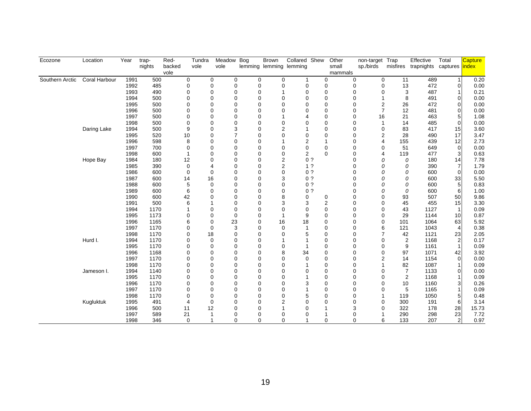| Ecozone         | Location             | Year         | trap-        | Red-   | Tundra                           | Meadow Bog     |        | <b>Brown</b> | Collared Shew           |                | Other                                    | non-target Trap         |                      | Effective                          | Total                | <b>Capture</b> |
|-----------------|----------------------|--------------|--------------|--------|----------------------------------|----------------|--------|--------------|-------------------------|----------------|------------------------------------------|-------------------------|----------------------|------------------------------------|----------------------|----------------|
|                 |                      |              | nights       | backed | vole                             | vole           |        |              | lemming lemming lemming |                | small                                    | sp./birds               |                      | misfires trapnights captures index |                      |                |
|                 |                      |              |              | vole   |                                  |                |        |              |                         |                | mammals                                  |                         |                      |                                    |                      |                |
| Southern Arctic | <b>Coral Harbour</b> | 1991         | 500          |        | 0                                | 0              | 0<br>0 | 0            | 1                       |                | $\mathbf 0$<br>0                         | 0                       | 11                   | 489                                | $\mathbf{1}$         | 0.20           |
|                 |                      | 1992         | 485          |        | 0                                | 0<br>0         | 0      | 0            | 0                       |                | 0<br>0                                   | 0                       | 13                   | 472                                | $\mathbf 0$          | 0.00           |
|                 |                      | 1993         | 490          |        | 0<br>0                           | 0              | 0      |              | 0                       |                | $\mathbf 0$<br>$\mathbf 0$               | 0                       | 3                    | 487                                |                      | 0.21           |
|                 |                      | 1994         | 500          |        | 0<br>0                           | 0              | 0      | 0            | 0                       |                | $\mathbf 0$<br>$\mathbf 0$               | $\mathbf{1}$            | 8                    | 491                                | 0                    | 0.00           |
|                 |                      | 1995         | 500          |        | $\Omega$<br>$\Omega$             | 0              | 0      | 0            | 0                       |                | $\mathbf 0$<br>$\Omega$                  | $\overline{2}$          | 26                   | 472                                | $\mathbf 0$          | 0.00           |
|                 |                      | 1996         | 500          |        | 0<br>0                           | 0              | 0      | 0            | 0                       |                | $\mathbf 0$<br>0                         | $\overline{7}$          | 12                   | 481                                | $\overline{0}$       | 0.00           |
|                 |                      | 1997         | 500          |        | 0<br>0                           | 0              | 0      |              | 4                       |                | $\mathbf 0$<br>0                         | 16                      | 21                   | 463                                | 5                    | 1.08           |
|                 |                      | 1998         | 500          |        | $\mathbf 0$<br>$\Omega$          | 0              | 0      | 0            | 0                       |                | $\mathbf 0$<br>0                         | $\mathbf{1}$            | 14                   | 485                                | 0                    | 0.00           |
|                 | Daring Lake          | 1994         | 500          |        | 9<br>$\Omega$                    | 3              | 0      | 2            |                         |                | $\mathbf 0$<br>$\Omega$                  | 0                       | 83                   | 417                                | 15                   | 3.60           |
|                 |                      | 1995         | 520          | 10     | $\Omega$                         | $\overline{7}$ | 0      | 0            | 0                       |                | $\mathbf 0$<br>0                         | $\overline{2}$          | 28                   | 490                                | 17                   | 3.47           |
|                 |                      | 1996         | 598          |        | 8<br>$\Omega$                    | 0              | 0      |              | 2                       |                | $\mathbf{1}$<br>0                        | $\overline{4}$          | 155                  | 439                                | 12                   | 2.73           |
|                 |                      | 1997         | 700          |        | 0<br>$\Omega$                    | 0              | 0      | 0            | 0                       |                | $\mathbf 0$<br>0                         | 0                       | 51                   | 649                                | $\mathbf 0$          | 0.00           |
|                 |                      | 1998         | 600          |        | $\Omega$<br>1                    | 0              | 0      | 0            | 2                       |                | $\mathbf 0$<br>0                         | 4                       | 119                  | 477                                | 3                    | 0.63           |
|                 | Hope Bay             | 1984         | 180          | 12     | 0                                | 0              | 0      | 2            |                         | 0 <sub>2</sub> | 0                                        | 0                       | 0                    | 180                                | 14                   | 7.78           |
|                 |                      | 1985         | 390          |        | 0<br>4                           | 0              | 0      | 2            |                         | 1 <sup>2</sup> | 0                                        | 0                       | 0                    | 390                                | $\overline{7}$       | 1.79           |
|                 |                      | 1986         | 600          |        | 0<br>0                           | 0              | 0      | 0            |                         | 0 <sub>2</sub> | $\Omega$                                 | 0                       | 0                    | 600                                | $\mathbf 0$          | 0.00           |
|                 |                      | 1987         | 600          | 14     | 16                               | 0              | 0      | 3            |                         | 0 <sub>2</sub> | 0                                        | 0                       | 0                    | 600                                | 33                   | 5.50           |
|                 |                      | 1988         | 600          |        | 5<br>$\mathbf{0}$                | 0              | 0      | 0            |                         | 0 <sub>2</sub> | 0                                        | 0                       | 0                    | 600                                | 5                    | 0.83           |
|                 |                      | 1989         | 600          |        | 6<br>$\Omega$                    | 0              | 0      | 0            |                         | 0 <sub>2</sub> | $\Omega$                                 | 0                       | 0                    | 600                                | 6                    | 1.00           |
|                 |                      | 1990         | 600          | 42     | $\Omega$                         | 0              | 0      | 8            | 0                       |                | $\Omega$<br>0                            | $\Omega$                | 93                   | 507                                | 50                   | 9.86           |
|                 |                      | 1991         | 500          |        | 6                                | 0              | 0      | 3            | 3                       |                | $\overline{c}$<br>$\Omega$               | $\mathbf 0$             | 45                   | 455                                | 15                   | 3.30           |
|                 |                      | 1994         | 1170         |        | $\Omega$<br>1                    | 0              | 0      | 0            | 0                       |                | $\mathbf 0$<br>0                         | $\mathbf 0$             | 43                   | 1127                               | $\mathbf{1}$         | 0.09           |
|                 |                      | 1995         | 1173         |        | $\Omega$<br>$\Omega$             | 0              | 0      |              | 9                       |                | $\mathbf 0$<br>$\Omega$                  | 0                       | 29                   | 1144                               | 10                   | 0.87           |
|                 |                      | 1996         | 1165         |        | 6<br>0                           | 23             | 0      | 16           | 18                      |                | $\mathbf 0$<br>$\Omega$                  | $\mathbf 0$             | 101                  | 1064                               | 63                   | 5.92           |
|                 |                      | 1997         | 1170         |        | 0<br>0                           | 3              | 0      | 0            |                         |                | 0<br>0                                   | 6                       | 121                  | 1043                               | $\overline{4}$       | 0.38           |
|                 |                      | 1998         | 1170         |        | 0<br>18                          | 0              | 0      | 0            | 5                       |                | $\mathbf 0$<br>0                         | 7                       | 42                   | 1121                               | 23                   | 2.05           |
|                 | Hurd I.              | 1994         | 1170         |        | 0<br>0                           | 0              | 0      |              |                         |                | $\mathbf 0$<br>$\Omega$                  | $\mathbf 0$             | $\overline{2}$       | 1168                               | 2                    | 0.17           |
|                 |                      | 1995         | 1170         |        | $\Omega$<br>$\Omega$<br>$\Omega$ | 0<br>0         | 0      | 0<br>8       | 34                      |                | $\mathbf 0$<br>0                         | $\mathbf 0$             | 9                    | 1161                               | $\mathbf{1}$         | 0.09           |
|                 |                      | 1996<br>1997 | 1168<br>1170 |        | $\Omega$<br>$\Omega$<br>$\Omega$ | 0              | 0<br>0 | 0            |                         |                | $\mathbf 0$<br>0<br>$\Omega$<br>$\Omega$ | $\mathbf 0$<br>2        | 97<br>14             | 1071<br>1154                       | 42                   | 3.92           |
|                 |                      | 1998         | 1170         |        | $\Omega$<br>$\Omega$             | 0              | 0      | 0            | 0                       |                | $\Omega$<br>$\Omega$                     |                         |                      | 1087                               | $\mathbf 0$          | 0.00<br>0.09   |
|                 |                      | 1994         | 1140         |        | 0<br>$\Omega$                    | 0              | 0      | 0            |                         |                | $\mathbf 0$<br>$\Omega$                  |                         | 82<br>$\overline{7}$ |                                    |                      | 0.00           |
|                 | Jameson I.           | 1995         | 1170         |        | 0<br>$\Omega$                    | 0              | 0      | 0            | 0                       |                | $\mathbf 0$<br>$\Omega$                  | 0<br>$\mathbf 0$        | $\overline{2}$       | 1133<br>1168                       | $\mathbf 0$          | 0.09           |
|                 |                      | 1996         | 1170         |        | $\Omega$<br>$\Omega$             | 0              | 0      | 0            | 3                       |                | $\mathbf 0$<br>$\Omega$                  | $\Omega$                | 10                   | 1160                               |                      |                |
|                 |                      |              | 1170         |        | $\Omega$<br>0                    | 0              | 0      | 0            |                         |                | $\mathbf 0$<br>$\Omega$                  |                         |                      | 1165                               | 3                    | 0.26           |
|                 |                      | 1997         |              |        | 0                                |                |        |              |                         |                | 0                                        | $\mathbf 0$             | 5<br>119             |                                    |                      | 0.09           |
|                 |                      | 1998         | 1170<br>491  |        | 0                                | 0<br>0         | 0<br>0 | 0            | 5<br>0                  |                | 0<br>$\Omega$                            |                         | 300                  | 1050                               | 5                    | 0.48<br>3.14   |
|                 | Kugluktuk            | 1995<br>1996 | 500          |        | 0<br>4<br>12                     | 0              | 0      | 2            | 0                       |                | 0<br>3                                   | $\mathbf 0$<br>$\Omega$ | 322                  | 191<br>178                         | 6<br>28              |                |
|                 |                      |              |              | 11     | 1                                |                |        |              |                         |                |                                          |                         |                      |                                    |                      | 15.73          |
|                 |                      | 1997         | 589          | 21     | 1                                | 0<br>0         | 0      | 0            | 0                       |                | 0<br>$\mathbf 0$                         |                         | 290<br>133           | 298<br>207                         | 23<br>$\overline{2}$ | 7.72           |
|                 |                      | 1998         | 346          |        | 0                                |                | 0      | 0            |                         |                |                                          | 0<br>6                  |                      |                                    |                      | 0.97           |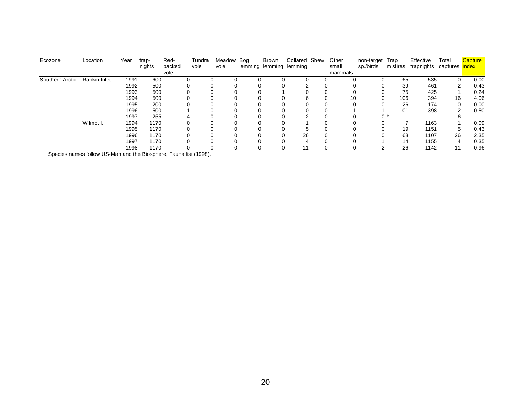| Ecozone         | Location     | Year | trap-  | Red-   | Tundra | Meadow Bog | Brown | Collared Shew           | Other   | non-target | Trap     | Effective  | Total           | <b>Capture</b> |
|-----------------|--------------|------|--------|--------|--------|------------|-------|-------------------------|---------|------------|----------|------------|-----------------|----------------|
|                 |              |      | nights | backed | vole   | vole       |       | lemming lemming lemming | small   | sp./birds  | misfires | trapnights | captures lindex |                |
|                 |              |      |        | vole   |        |            |       |                         | mammals |            |          |            |                 |                |
| Southern Arctic | Rankin Inlet | 1991 | 600    |        |        |            |       |                         |         |            | 65       | 535        |                 | 0.00           |
|                 |              | 1992 | 500    |        |        |            |       |                         |         |            | 39       | 461        |                 | 0.43           |
|                 |              | 1993 | 500    |        |        |            |       |                         |         |            | 75       | 425        |                 | 0.24           |
|                 |              | 1994 | 500    |        |        |            |       |                         | 10      |            | 106      | 394        | 16              | 4.06           |
|                 |              | 1995 | 200    |        |        |            |       |                         |         |            | 26       | 174        | 0               | 0.00           |
|                 |              | 1996 | 500    |        |        |            |       |                         |         |            | 101      | 398        |                 | 0.50           |
|                 |              | 1997 | 255    |        |        |            |       |                         |         |            | ∩ *      |            |                 |                |
|                 | Wilmot I.    | 1994 | 1170   |        |        |            |       |                         |         |            |          | 1163       |                 | 0.09           |
|                 |              | 1995 | 1170   |        |        |            |       |                         |         |            | 19       | 1151       | 5               | 0.43           |
|                 |              | 1996 | 1170   |        |        |            |       | 26                      |         |            | 63       | 1107       | 26              | 2.35           |
|                 |              | 1997 | 1170   |        |        |            |       |                         |         |            | 14       | 1155       | 4               | 0.35           |
|                 |              | 1998 | 1170   |        |        |            |       |                         |         |            | 26       | 1142       | 11              | 0.96           |

Species names follow US-Man and the Biosphere, Fauna list (1998).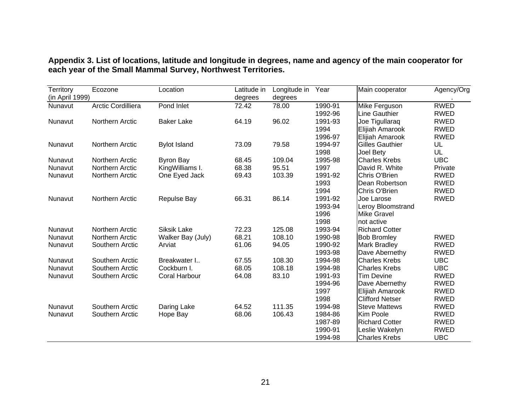<span id="page-24-0"></span>

| Territory<br>(in April 1999) | Ecozone                | Location            | Latitude in<br>degrees | Longitude in<br>degrees | Year    | Main cooperator        | Agency/Org  |
|------------------------------|------------------------|---------------------|------------------------|-------------------------|---------|------------------------|-------------|
| Nunavut                      | Arctic Cordilliera     | Pond Inlet          | 72.42                  | 78.00                   | 1990-91 | Mike Ferguson          | <b>RWED</b> |
|                              |                        |                     |                        |                         | 1992-96 | Line Gauthier          | <b>RWED</b> |
| Nunavut                      | Northern Arctic        | <b>Baker Lake</b>   | 64.19                  | 96.02                   | 1991-93 | Joe Tigullaraq         | <b>RWED</b> |
|                              |                        |                     |                        |                         | 1994    | Elijiah Amarook        | <b>RWED</b> |
|                              |                        |                     |                        |                         | 1996-97 | Elijiah Amarook        | <b>RWED</b> |
| Nunavut                      | Northern Arctic        | <b>Bylot Island</b> | 73.09                  | 79.58                   | 1994-97 | <b>Gilles Gauthier</b> | UL          |
|                              |                        |                     |                        |                         | 1998    | Joel Bety              | UL          |
| Nunavut                      | Northern Arctic        | <b>Byron Bay</b>    | 68.45                  | 109.04                  | 1995-98 | <b>Charles Krebs</b>   | <b>UBC</b>  |
| Nunavut                      | Northern Arctic        | KingWilliams I.     | 68.38                  | 95.51                   | 1997    | David R. White         | Private     |
| Nunavut                      | Northern Arctic        | One Eyed Jack       | 69.43                  | 103.39                  | 1991-92 | Chris O'Brien          | <b>RWED</b> |
|                              |                        |                     |                        |                         | 1993    | Dean Robertson         | <b>RWED</b> |
|                              |                        |                     |                        |                         | 1994    | Chris O'Brien          | <b>RWED</b> |
| Nunavut                      | Northern Arctic        | <b>Repulse Bay</b>  | 66.31                  | 86.14                   | 1991-92 | Joe Larose             | <b>RWED</b> |
|                              |                        |                     |                        |                         | 1993-94 | Leroy Bloomstrand      |             |
|                              |                        |                     |                        |                         | 1996    | <b>Mike Gravel</b>     |             |
|                              |                        |                     |                        |                         | 1998    | not active             |             |
| Nunavut                      | <b>Northern Arctic</b> | <b>Siksik Lake</b>  | 72.23                  | 125.08                  | 1993-94 | <b>Richard Cotter</b>  |             |
| Nunavut                      | Northern Arctic        | Walker Bay (July)   | 68.21                  | 108.10                  | 1990-98 | <b>Bob Bromley</b>     | <b>RWED</b> |
| Nunavut                      | Southern Arctic        | Arviat              | 61.06                  | 94.05                   | 1990-92 | Mark Bradley           | <b>RWED</b> |
|                              |                        |                     |                        |                         | 1993-98 | Dave Abernethy         | <b>RWED</b> |
| Nunavut                      | Southern Arctic        | Breakwater I        | 67.55                  | 108.30                  | 1994-98 | <b>Charles Krebs</b>   | <b>UBC</b>  |
| Nunavut                      | Southern Arctic        | Cockburn I.         | 68.05                  | 108.18                  | 1994-98 | <b>Charles Krebs</b>   | <b>UBC</b>  |
| Nunavut                      | Southern Arctic        | Coral Harbour       | 64.08                  | 83.10                   | 1991-93 | <b>Tim Devine</b>      | <b>RWED</b> |
|                              |                        |                     |                        |                         | 1994-96 | Dave Abernethy         | <b>RWED</b> |
|                              |                        |                     |                        |                         | 1997    | Elijiah Amarook        | <b>RWED</b> |
|                              |                        |                     |                        |                         | 1998    | <b>Clifford Netser</b> | <b>RWED</b> |
| Nunavut                      | Southern Arctic        | Daring Lake         | 64.52                  | 111.35                  | 1994-98 | <b>Steve Mattews</b>   | <b>RWED</b> |
| Nunavut                      | Southern Arctic        | Hope Bay            | 68.06                  | 106.43                  | 1984-86 | Kim Poole              | <b>RWED</b> |
|                              |                        |                     |                        |                         | 1987-89 | <b>Richard Cotter</b>  | <b>RWED</b> |
|                              |                        |                     |                        |                         | 1990-91 | Leslie Wakelyn         | <b>RWED</b> |
|                              |                        |                     |                        |                         | 1994-98 | <b>Charles Krebs</b>   | <b>UBC</b>  |

**Appendix 3. List of locations, latitude and longitude in degrees, name and agency of the main cooperator for each year of the Small Mammal Survey, Northwest Territories.**